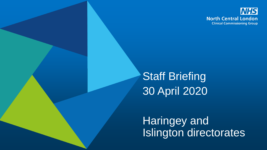

Staff Briefing 30 April 2020

Haringey and Islington directorates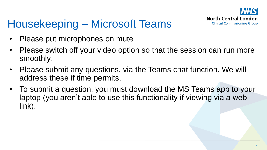

#### Housekeeping – Microsoft Teams

- Please put microphones on mute
- Please switch off your video option so that the session can run more smoothly.
- Please submit any questions, via the Teams chat function. We will address these if time permits.
- To submit a question, you must download the MS Teams app to your laptop (you aren't able to use this functionality if viewing via a web link).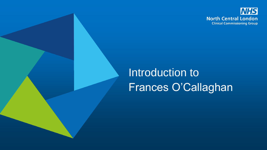

## Introduction to Frances O'Callaghan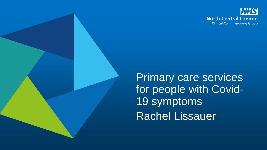

Primary care services for people with Covid-19 symptoms Rachel Lissauer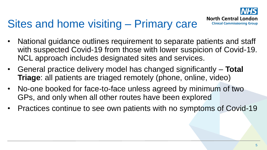

#### Sites and home visiting – Primary care

- National guidance outlines requirement to separate patients and staff with suspected Covid-19 from those with lower suspicion of Covid-19. NCL approach includes designated sites and services.
- General practice delivery model has changed significantly **Total Triage**: all patients are triaged remotely (phone, online, video)
- No-one booked for face-to-face unless agreed by minimum of two GPs, and only when all other routes have been explored
- Practices continue to see own patients with no symptoms of Covid-19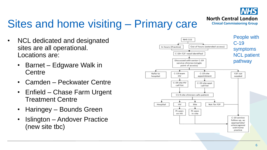

### Sites and home visiting – Primary care

- NCL dedicated and designated sites are all operational. Locations are:
	- Barnet Edgware Walk in **Centre**
	- Camden Peckwater Centre
	- Enfield Chase Farm Urgent Treatment Centre
	- Haringey Bounds Green
	- Islington Andover Practice (new site tbc)

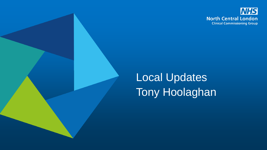

# Local Updates Tony Hoolaghan